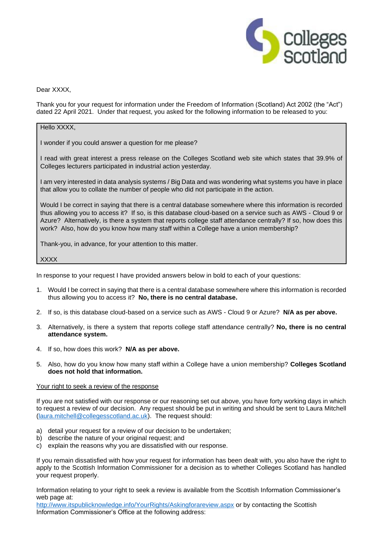

## Dear XXXX.

Thank you for your request for information under the Freedom of Information (Scotland) Act 2002 (the "Act") dated 22 April 2021. Under that request, you asked for the following information to be released to you:

## Hello XXXX.

I wonder if you could answer a question for me please?

I read with great interest a press release on the Colleges Scotland web site which states that 39.9% of Colleges lecturers participated in industrial action yesterday.

I am very interested in data analysis systems / Big Data and was wondering what systems you have in place that allow you to collate the number of people who did not participate in the action.

Would I be correct in saying that there is a central database somewhere where this information is recorded thus allowing you to access it? If so, is this database cloud-based on a service such as AWS - Cloud 9 or Azure? Alternatively, is there a system that reports college staff attendance centrally? If so, how does this work? Also, how do you know how many staff within a College have a union membership?

Thank-you, in advance, for your attention to this matter.

XXXX

In response to your request I have provided answers below in bold to each of your questions:

- 1. Would I be correct in saying that there is a central database somewhere where this information is recorded thus allowing you to access it? **No, there is no central database.**
- 2. If so, is this database cloud-based on a service such as AWS Cloud 9 or Azure? **N/A as per above.**
- 3. Alternatively, is there a system that reports college staff attendance centrally? **No, there is no central attendance system.**
- 4. If so, how does this work? **N/A as per above.**
- 5. Also, how do you know how many staff within a College have a union membership? **Colleges Scotland does not hold that information.**

## Your right to seek a review of the response

If you are not satisfied with our response or our reasoning set out above, you have forty working days in which to request a review of our decision. Any request should be put in writing and should be sent to Laura Mitchell [\(laura.mitchell@collegesscotland.ac.uk\)](mailto:laura.mitchell@collegesscotland.ac.uk). The request should:

- a) detail your request for a review of our decision to be undertaken;
- b) describe the nature of your original request; and
- c) explain the reasons why you are dissatisfied with our response.

If you remain dissatisfied with how your request for information has been dealt with, you also have the right to apply to the Scottish Information Commissioner for a decision as to whether Colleges Scotland has handled your request properly.

Information relating to your right to seek a review is available from the Scottish Information Commissioner's web page at:

<http://www.itspublicknowledge.info/YourRights/Askingforareview.aspx> or by contacting the Scottish Information Commissioner's Office at the following address: